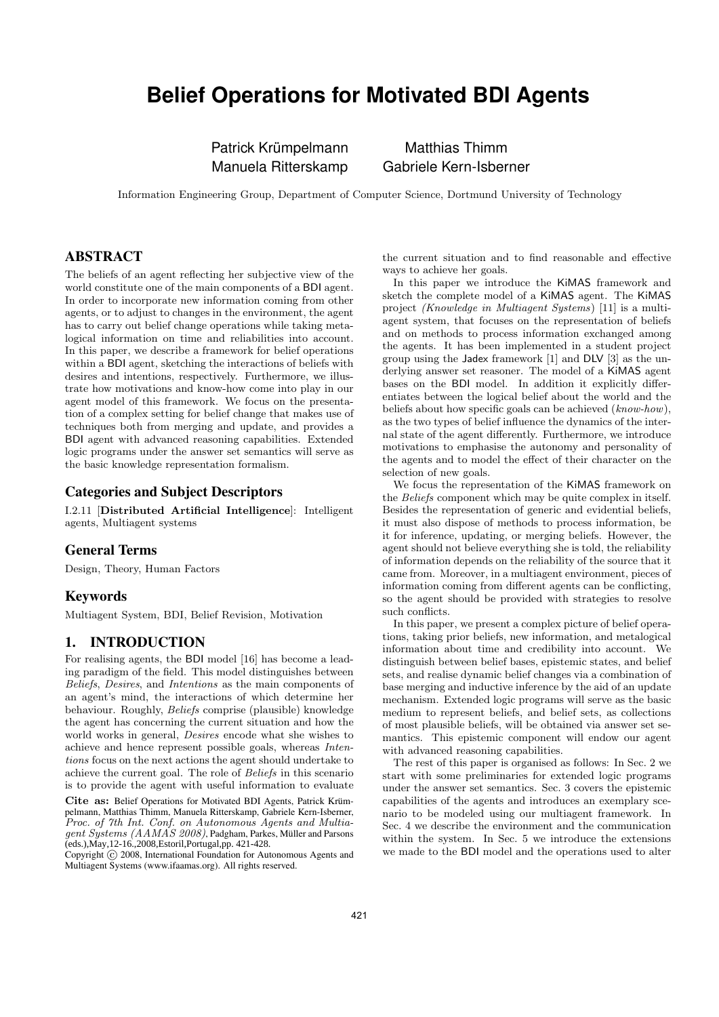# **Belief Operations for Motivated BDI Agents**

Patrick Krümpelmann Matthias Thimm

Manuela Ritterskamp Gabriele Kern-Isberner

Information Engineering Group, Department of Computer Science, Dortmund University of Technology

## ABSTRACT

The beliefs of an agent reflecting her subjective view of the world constitute one of the main components of a BDI agent. In order to incorporate new information coming from other agents, or to adjust to changes in the environment, the agent has to carry out belief change operations while taking metalogical information on time and reliabilities into account. In this paper, we describe a framework for belief operations within a BDI agent, sketching the interactions of beliefs with desires and intentions, respectively. Furthermore, we illustrate how motivations and know-how come into play in our agent model of this framework. We focus on the presentation of a complex setting for belief change that makes use of techniques both from merging and update, and provides a BDI agent with advanced reasoning capabilities. Extended logic programs under the answer set semantics will serve as the basic knowledge representation formalism.

#### Categories and Subject Descriptors

I.2.11 [Distributed Artificial Intelligence]: Intelligent agents, Multiagent systems

#### General Terms

Design, Theory, Human Factors

#### Keywords

Multiagent System, BDI, Belief Revision, Motivation

## 1. INTRODUCTION

For realising agents, the BDI model [16] has become a leading paradigm of the field. This model distinguishes between Beliefs, Desires, and Intentions as the main components of an agent's mind, the interactions of which determine her behaviour. Roughly, Beliefs comprise (plausible) knowledge the agent has concerning the current situation and how the world works in general, Desires encode what she wishes to achieve and hence represent possible goals, whereas Intentions focus on the next actions the agent should undertake to achieve the current goal. The role of Beliefs in this scenario is to provide the agent with useful information to evaluate

Cite as: Belief Operations for Motivated BDI Agents, Patrick Krümpelmann, Matthias Thimm, Manuela Ritterskamp, Gabriele Kern-Isberner, Proc. of 7th Int. Conf. on Autonomous Agents and Multiagent Systems (AAMAS 2008), Padgham, Parkes, Müller and Parsons (eds.),May,12-16.,2008,Estoril,Portugal,pp. 421-428.

Copyright (C) 2008, International Foundation for Autonomous Agents and Multiagent Systems (www.ifaamas.org). All rights reserved.

the current situation and to find reasonable and effective ways to achieve her goals.

In this paper we introduce the KiMAS framework and sketch the complete model of a KiMAS agent. The KiMAS project (Knowledge in Multiagent Systems) [11] is a multiagent system, that focuses on the representation of beliefs and on methods to process information exchanged among the agents. It has been implemented in a student project group using the Jadex framework [1] and DLV [3] as the underlying answer set reasoner. The model of a KiMAS agent bases on the BDI model. In addition it explicitly differentiates between the logical belief about the world and the beliefs about how specific goals can be achieved (know-how), as the two types of belief influence the dynamics of the internal state of the agent differently. Furthermore, we introduce motivations to emphasise the autonomy and personality of the agents and to model the effect of their character on the selection of new goals.

We focus the representation of the KiMAS framework on the Beliefs component which may be quite complex in itself. Besides the representation of generic and evidential beliefs, it must also dispose of methods to process information, be it for inference, updating, or merging beliefs. However, the agent should not believe everything she is told, the reliability of information depends on the reliability of the source that it came from. Moreover, in a multiagent environment, pieces of information coming from different agents can be conflicting, so the agent should be provided with strategies to resolve such conflicts.

In this paper, we present a complex picture of belief operations, taking prior beliefs, new information, and metalogical information about time and credibility into account. We distinguish between belief bases, epistemic states, and belief sets, and realise dynamic belief changes via a combination of base merging and inductive inference by the aid of an update mechanism. Extended logic programs will serve as the basic medium to represent beliefs, and belief sets, as collections of most plausible beliefs, will be obtained via answer set semantics. This epistemic component will endow our agent with advanced reasoning capabilities.

The rest of this paper is organised as follows: In Sec. 2 we start with some preliminaries for extended logic programs under the answer set semantics. Sec. 3 covers the epistemic capabilities of the agents and introduces an exemplary scenario to be modeled using our multiagent framework. In Sec. 4 we describe the environment and the communication within the system. In Sec. 5 we introduce the extensions we made to the BDI model and the operations used to alter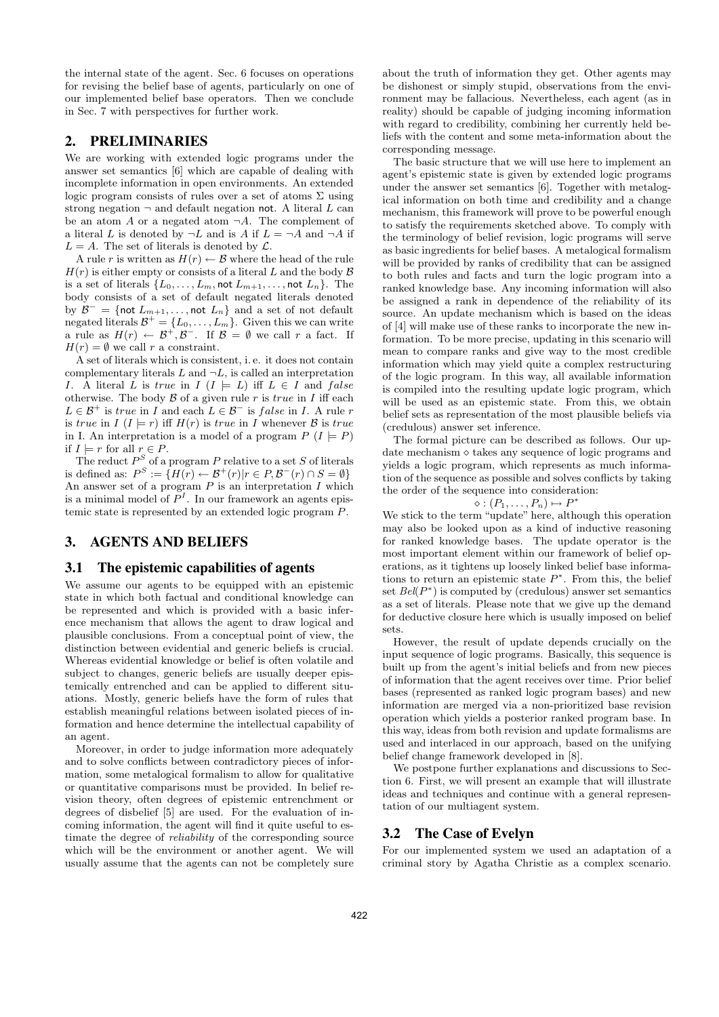the internal state of the agent. Sec. 6 focuses on operations for revising the belief base of agents, particularly on one of our implemented belief base operators. Then we conclude in Sec. 7 with perspectives for further work.

#### 2. PRELIMINARIES

We are working with extended logic programs under the answer set semantics [6] which are capable of dealing with incomplete information in open environments. An extended logic program consists of rules over a set of atoms  $\Sigma$  using strong negation  $\neg$  and default negation not. A literal L can be an atom A or a negated atom  $\neg A$ . The complement of a literal L is denoted by  $\neg L$  and is A if  $L = \neg A$  and  $\neg A$  if  $L = A$ . The set of literals is denoted by  $\mathcal{L}$ .

A rule r is written as  $H(r) \leftarrow \mathcal{B}$  where the head of the rule  $H(r)$  is either empty or consists of a literal L and the body  $\beta$ is a set of literals  $\{L_0, \ldots, L_m, \text{not } L_{m+1}, \ldots, \text{not } L_n\}.$  The body consists of a set of default negated literals denoted by  $\mathcal{B}^- = \{ \text{not } L_{m+1}, \ldots, \text{not } L_n \}$  and a set of not default negated literals  $\mathcal{B}^+ = \{L_0, \ldots, L_m\}$ . Given this we can write a rule as  $H(r) \leftarrow \mathcal{B}^+, \mathcal{B}^-$ . If  $\mathcal{B} = \emptyset$  we call r a fact. If  $H(r) = \emptyset$  we call r a constraint.

A set of literals which is consistent, i. e. it does not contain complementary literals  $L$  and  $\neg L$ , is called an interpretation I. A literal L is true in  $I (I \models L)$  iff  $L \in I$  and false otherwise. The body  $\beta$  of a given rule r is true in I iff each  $L \in \mathcal{B}^+$  is true in I and each  $L \in \mathcal{B}^-$  is false in I. A rule r is true in  $I(I \models r)$  iff  $H(r)$  is true in I whenever  $\beta$  is true in I. An interpretation is a model of a program  $P(I \models P)$ if  $I \models r$  for all  $r \in P$ .

The reduct  $P^S$  of a program P relative to a set S of literals is defined as:  $P^S := \{ H(r) \leftarrow \mathcal{B}^+(r) | r \in P, \mathcal{B}^-(r) \cap S = \emptyset \}$ An answer set of a program  $P$  is an interpretation  $I$  which is a minimal model of  $P<sup>I</sup>$ . In our framework an agents epistemic state is represented by an extended logic program P.

## 3. AGENTS AND BELIEFS

#### 3.1 The epistemic capabilities of agents

We assume our agents to be equipped with an epistemic state in which both factual and conditional knowledge can be represented and which is provided with a basic inference mechanism that allows the agent to draw logical and plausible conclusions. From a conceptual point of view, the distinction between evidential and generic beliefs is crucial. Whereas evidential knowledge or belief is often volatile and subject to changes, generic beliefs are usually deeper epistemically entrenched and can be applied to different situations. Mostly, generic beliefs have the form of rules that establish meaningful relations between isolated pieces of information and hence determine the intellectual capability of an agent.

Moreover, in order to judge information more adequately and to solve conflicts between contradictory pieces of information, some metalogical formalism to allow for qualitative or quantitative comparisons must be provided. In belief revision theory, often degrees of epistemic entrenchment or degrees of disbelief [5] are used. For the evaluation of incoming information, the agent will find it quite useful to estimate the degree of reliability of the corresponding source which will be the environment or another agent. We will usually assume that the agents can not be completely sure

about the truth of information they get. Other agents may be dishonest or simply stupid, observations from the environment may be fallacious. Nevertheless, each agent (as in reality) should be capable of judging incoming information with regard to credibility, combining her currently held beliefs with the content and some meta-information about the corresponding message.

The basic structure that we will use here to implement an agent's epistemic state is given by extended logic programs under the answer set semantics [6]. Together with metalogical information on both time and credibility and a change mechanism, this framework will prove to be powerful enough to satisfy the requirements sketched above. To comply with the terminology of belief revision, logic programs will serve as basic ingredients for belief bases. A metalogical formalism will be provided by ranks of credibility that can be assigned to both rules and facts and turn the logic program into a ranked knowledge base. Any incoming information will also be assigned a rank in dependence of the reliability of its source. An update mechanism which is based on the ideas of [4] will make use of these ranks to incorporate the new information. To be more precise, updating in this scenario will mean to compare ranks and give way to the most credible information which may yield quite a complex restructuring of the logic program. In this way, all available information is compiled into the resulting update logic program, which will be used as an epistemic state. From this, we obtain belief sets as representation of the most plausible beliefs via (credulous) answer set inference.

The formal picture can be described as follows. Our update mechanism  $\diamond$  takes any sequence of logic programs and yields a logic program, which represents as much information of the sequence as possible and solves conflicts by taking the order of the sequence into consideration:

$$
\diamond : (P_1, \ldots, P_n) \mapsto P^*
$$

We stick to the term "update" here, although this operation may also be looked upon as a kind of inductive reasoning for ranked knowledge bases. The update operator is the most important element within our framework of belief operations, as it tightens up loosely linked belief base informations to return an epistemic state  $P^*$ . From this, the belief set  $Bel(P^*)$  is computed by (credulous) answer set semantics as a set of literals. Please note that we give up the demand for deductive closure here which is usually imposed on belief sets.

However, the result of update depends crucially on the input sequence of logic programs. Basically, this sequence is built up from the agent's initial beliefs and from new pieces of information that the agent receives over time. Prior belief bases (represented as ranked logic program bases) and new information are merged via a non-prioritized base revision operation which yields a posterior ranked program base. In this way, ideas from both revision and update formalisms are used and interlaced in our approach, based on the unifying belief change framework developed in [8].

We postpone further explanations and discussions to Section 6. First, we will present an example that will illustrate ideas and techniques and continue with a general representation of our multiagent system.

## 3.2 The Case of Evelyn

For our implemented system we used an adaptation of a criminal story by Agatha Christie as a complex scenario.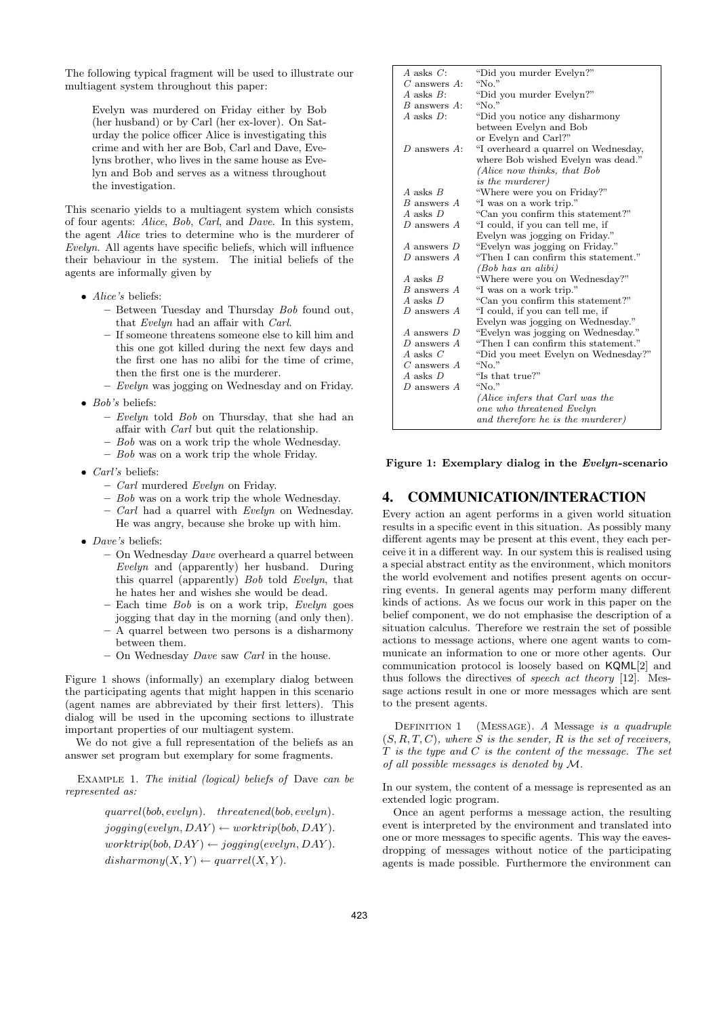The following typical fragment will be used to illustrate our multiagent system throughout this paper:

Evelyn was murdered on Friday either by Bob (her husband) or by Carl (her ex-lover). On Saturday the police officer Alice is investigating this crime and with her are Bob, Carl and Dave, Evelyns brother, who lives in the same house as Evelyn and Bob and serves as a witness throughout the investigation.

This scenario yields to a multiagent system which consists of four agents: Alice, Bob, Carl, and Dave. In this system, the agent Alice tries to determine who is the murderer of Evelyn. All agents have specific beliefs, which will influence their behaviour in the system. The initial beliefs of the agents are informally given by

- Alice's beliefs:
	- Between Tuesday and Thursday Bob found out, that Evelyn had an affair with Carl.
	- If someone threatens someone else to kill him and this one got killed during the next few days and the first one has no alibi for the time of crime, then the first one is the murderer.
	- Evelyn was jogging on Wednesday and on Friday.
- Bob's beliefs:
	- Evelyn told Bob on Thursday, that she had an affair with Carl but quit the relationship.
	- $-$  Bob was on a work trip the whole Wednesday.
	- $-$  Bob was on a work trip the whole Friday.
- Carl's beliefs:
	- Carl murdered Evelyn on Friday.
	- Bob was on a work trip the whole Wednesday.
	- Carl had a quarrel with Evelyn on Wednesday. He was angry, because she broke up with him.
- *Dave's* beliefs:
	- On Wednesday Dave overheard a quarrel between Evelyn and (apparently) her husband. During this quarrel (apparently) Bob told Evelyn, that he hates her and wishes she would be dead.
	- $-$  Each time *Bob* is on a work trip, *Evelyn* goes jogging that day in the morning (and only then).
	- A quarrel between two persons is a disharmony between them.
	- $-$  On Wednesday *Dave* saw *Carl* in the house.

Figure 1 shows (informally) an exemplary dialog between the participating agents that might happen in this scenario (agent names are abbreviated by their first letters). This dialog will be used in the upcoming sections to illustrate important properties of our multiagent system.

We do not give a full representation of the beliefs as an answer set program but exemplary for some fragments.

Example 1. The initial (logical) beliefs of Dave can be represented as:

> quarrel(bob, evelyn). threatened(bob, evelyn).  $jogging(evelyn, DAY) \leftarrow worktrip(bob, DAY).$  $worktrip(bob, DAY) \leftarrow jogging(evelyn, DAY).$  $disharmony(X, Y) \leftarrow quartel(X, Y).$

| $A$ asks $C$ :              | "Did you murder Evelyn?"             |
|-----------------------------|--------------------------------------|
| $C$ answers $A$ :           | " $No."$                             |
| $A$ asks $B$ :              | "Did you murder Evelyn?"             |
| <i>B</i> answers <i>A</i> : | "No."                                |
| $A$ asks $D$ :              | "Did you notice any disharmony"      |
|                             | between Evelyn and Bob               |
|                             | or Evelyn and Carl?"                 |
| D answers $A$ :             | "I overheard a quarrel on Wednesday, |
|                             | where Bob wished Evelyn was dead."   |
|                             | (Alice now thinks, that Bob          |
|                             | <i>is the murderer</i> )             |
| A asks $B$                  | "Where were you on Friday?"          |
| B answers A                 | "I was on a work trip."              |
| $A$ asks $D$                | "Can you confirm this statement?"    |
| $D$ answers $A$             | "I could, if you can tell me, if     |
|                             | Evelyn was jogging on Friday."       |
| A answers D                 | "Evelyn was jogging on Friday."      |
| D answers $A$               | "Then I can confirm this statement." |
|                             | (Bob has an alibi)                   |
| $A$ asks $B$                | "Where were you on Wednesday?"       |
| B answers A                 | "I was on a work trip."              |
| $A$ asks $D$                | "Can you confirm this statement?"    |
| D answers $A$               | "I could, if you can tell me, if     |
|                             | Evelyn was jogging on Wednesday."    |
| A answers D                 | "Evelyn was jogging on Wednesday."   |
| D answers $A$               | "Then I can confirm this statement." |
| A asks $C$                  | "Did you meet Evelyn on Wednesday?"  |
| $C$ answers $A$             | " $No."$                             |
| A asks D                    | "Is that true?"                      |
| D answers A                 | " $No."$                             |
|                             | (Alice infers that Carl was the      |
|                             | one who threatened Evelyn            |
|                             | and therefore he is the murderer)    |

Figure 1: Exemplary dialog in the Evelyn-scenario

# 4. COMMUNICATION/INTERACTION

Every action an agent performs in a given world situation results in a specific event in this situation. As possibly many different agents may be present at this event, they each perceive it in a different way. In our system this is realised using a special abstract entity as the environment, which monitors the world evolvement and notifies present agents on occurring events. In general agents may perform many different kinds of actions. As we focus our work in this paper on the belief component, we do not emphasise the description of a situation calculus. Therefore we restrain the set of possible actions to message actions, where one agent wants to communicate an information to one or more other agents. Our communication protocol is loosely based on KQML[2] and thus follows the directives of speech act theory [12]. Message actions result in one or more messages which are sent to the present agents.

DEFINITION 1 (MESSAGE). A Message is a quadruple  $(S, R, T, C)$ , where S is the sender, R is the set of receivers,  $T$  is the type and  $C$  is the content of the message. The set of all possible messages is denoted by M.

In our system, the content of a message is represented as an extended logic program.

Once an agent performs a message action, the resulting event is interpreted by the environment and translated into one or more messages to specific agents. This way the eavesdropping of messages without notice of the participating agents is made possible. Furthermore the environment can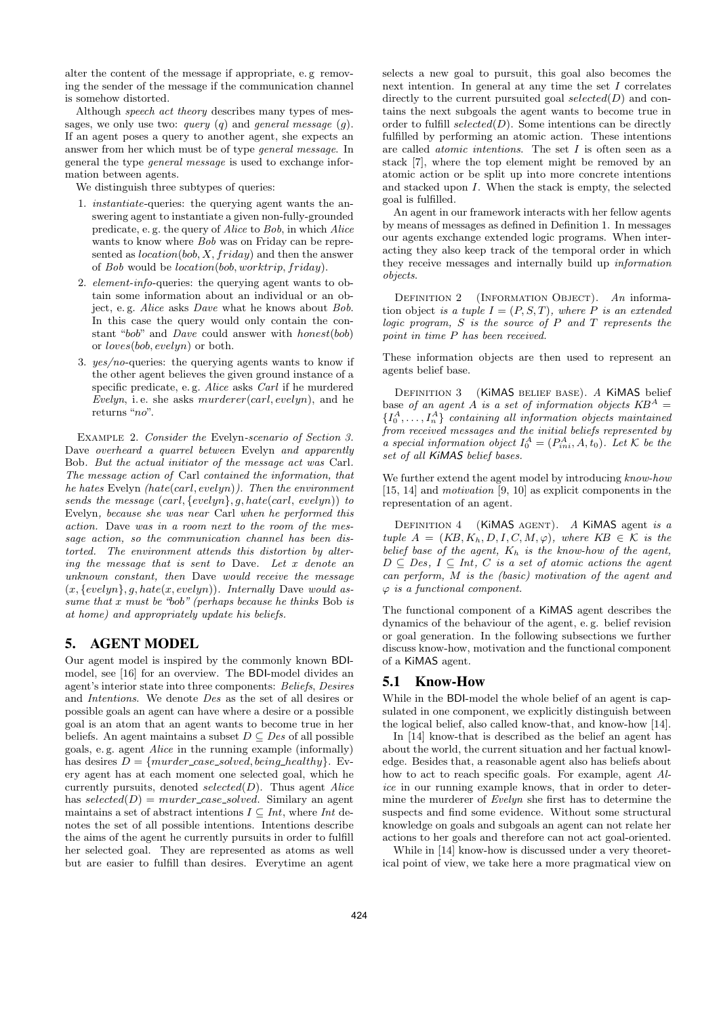alter the content of the message if appropriate, e. g removing the sender of the message if the communication channel is somehow distorted.

Although speech act theory describes many types of messages, we only use two: *query* (*q*) and *general message* (*q*). If an agent poses a query to another agent, she expects an answer from her which must be of type general message. In general the type general message is used to exchange information between agents.

We distinguish three subtypes of queries:

- 1. instantiate-queries: the querying agent wants the answering agent to instantiate a given non-fully-grounded predicate, e. g. the query of Alice to Bob, in which Alice wants to know where  $Bob$  was on Friday can be represented as  $location(bob, X, friday)$  and then the answer of Bob would be location(bob, worktrip, friday).
- 2. element-info-queries: the querying agent wants to obtain some information about an individual or an object, e. g. Alice asks Dave what he knows about Bob. In this case the query would only contain the constant "bob" and Dave could answer with honest(bob) or loves(bob, evelyn) or both.
- 3. yes/no-queries: the querying agents wants to know if the other agent believes the given ground instance of a specific predicate, e. g. Alice asks Carl if he murdered Evelyn, i.e. she asks  $murderer(carl, evelyn)$ , and he returns "no".

Example 2. Consider the Evelyn-scenario of Section 3. Dave overheard a quarrel between Evelyn and apparently Bob. But the actual initiator of the message act was Carl. The message action of Carl contained the information, that he hates Evelyn  $(hate(carl, evelyn))$ . Then the environment sends the message  $(carl, \{evelyn\}, g, hate(carl, evelyn))$  to Evelyn, because she was near Carl when he performed this action. Dave was in a room next to the room of the message action, so the communication channel has been distorted. The environment attends this distortion by altering the message that is sent to Dave. Let x denote an unknown constant, then Dave would receive the message  $(x, \{evelyn\}, g, hate(x, evelyn)).$  Internally Dave would assume that  $x$  must be "bob" (perhaps because he thinks Bob is at home) and appropriately update his beliefs.

# 5. AGENT MODEL

Our agent model is inspired by the commonly known BDImodel, see [16] for an overview. The BDI-model divides an agent's interior state into three components: Beliefs, Desires and Intentions. We denote Des as the set of all desires or possible goals an agent can have where a desire or a possible goal is an atom that an agent wants to become true in her beliefs. An agent maintains a subset  $D \subseteq Des$  of all possible goals, e. g. agent Alice in the running example (informally) has desires  $D = \{murder\_case\_solved, being\_healthy\}$ . Every agent has at each moment one selected goal, which he currently pursuits, denoted  $selected(D)$ . Thus agent Alice has  $selected(D) = murder\_case\_solved$ . Similary an agent maintains a set of abstract intentions  $I \subseteq Int$ , where Int denotes the set of all possible intentions. Intentions describe the aims of the agent he currently pursuits in order to fulfill her selected goal. They are represented as atoms as well but are easier to fulfill than desires. Everytime an agent

selects a new goal to pursuit, this goal also becomes the next intention. In general at any time the set  $I$  correlates directly to the current pursuited goal selected $(D)$  and contains the next subgoals the agent wants to become true in order to fulfill selected $(D)$ . Some intentions can be directly fulfilled by performing an atomic action. These intentions are called *atomic intentions*. The set  $I$  is often seen as a stack [7], where the top element might be removed by an atomic action or be split up into more concrete intentions and stacked upon I. When the stack is empty, the selected goal is fulfilled.

An agent in our framework interacts with her fellow agents by means of messages as defined in Definition 1. In messages our agents exchange extended logic programs. When interacting they also keep track of the temporal order in which they receive messages and internally build up information objects.

DEFINITION 2 (INFORMATION OBJECT). An information object is a tuple  $I = (P, S, T)$ , where P is an extended logic program,  $S$  is the source of  $P$  and  $T$  represents the point in time P has been received.

These information objects are then used to represent an agents belief base.

DEFINITION 3 (KIMAS BELIEF BASE). A KIMAS belief base of an agent A is a set of information objects  $KB^A =$  $\{I_0^A, \ldots, I_n^A\}$  containing all information objects maintained from received messages and the initial beliefs represented by a special information object  $I_0^A = (P_{ini}^A, A, t_0)$ . Let K be the set of all KiMAS belief bases.

We further extend the agent model by introducing know-how [15, 14] and *motivation* [9, 10] as explicit components in the representation of an agent.

DEFINITION  $4$  (KiMAS AGENT). A KiMAS agent is a tuple  $A = (KB, K_h, D, I, C, M, \varphi)$ , where  $KB \in \mathcal{K}$  is the belief base of the agent,  $K_h$  is the know-how of the agent,  $D \subseteq Des, I \subseteq Int, C$  is a set of atomic actions the agent can perform, M is the (basic) motivation of the agent and  $\varphi$  is a functional component.

The functional component of a KiMAS agent describes the dynamics of the behaviour of the agent, e. g. belief revision or goal generation. In the following subsections we further discuss know-how, motivation and the functional component of a KiMAS agent.

# 5.1 Know-How

While in the BDI-model the whole belief of an agent is capsulated in one component, we explicitly distinguish between the logical belief, also called know-that, and know-how [14].

In [14] know-that is described as the belief an agent has about the world, the current situation and her factual knowledge. Besides that, a reasonable agent also has beliefs about how to act to reach specific goals. For example, agent Alice in our running example knows, that in order to determine the murderer of Evelyn she first has to determine the suspects and find some evidence. Without some structural knowledge on goals and subgoals an agent can not relate her actions to her goals and therefore can not act goal-oriented.

While in [14] know-how is discussed under a very theoretical point of view, we take here a more pragmatical view on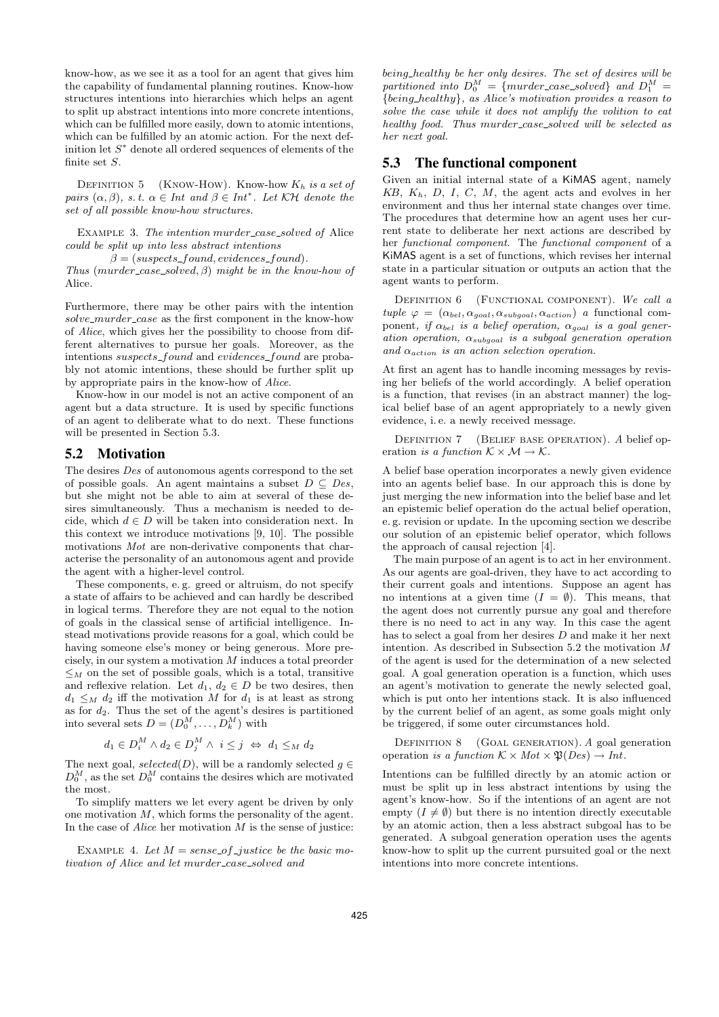know-how, as we see it as a tool for an agent that gives him the capability of fundamental planning routines. Know-how structures intentions into hierarchies which helps an agent to split up abstract intentions into more concrete intentions, which can be fulfilled more easily, down to atomic intentions, which can be fulfilled by an atomic action. For the next definition let  $S^*$  denote all ordered sequences of elements of the finite set S.

DEFINITION 5 (KNOW-HOW). Know-how  $K_h$  is a set of pairs  $(\alpha, \beta)$ , s.t.  $\alpha \in Int$  and  $\beta \in Int^*$ . Let  $K\mathcal{H}$  denote the set of all possible know-how structures.

EXAMPLE 3. The intention murder\_case\_solved of Alice could be split up into less abstract intentions

 $\beta = (suspects\_found, evidences\_found).$ 

Thus (murder\_case\_solved,  $\beta$ ) might be in the know-how of Alice.

Furthermore, there may be other pairs with the intention  $solve\_murder\_case$  as the first component in the know-how of Alice, which gives her the possibility to choose from different alternatives to pursue her goals. Moreover, as the intentions suspects\_found and evidences\_found are probably not atomic intentions, these should be further split up by appropriate pairs in the know-how of Alice.

Know-how in our model is not an active component of an agent but a data structure. It is used by specific functions of an agent to deliberate what to do next. These functions will be presented in Section 5.3.

# 5.2 Motivation

The desires Des of autonomous agents correspond to the set of possible goals. An agent maintains a subset  $D \subseteq Des$ , but she might not be able to aim at several of these desires simultaneously. Thus a mechanism is needed to decide, which  $d \in D$  will be taken into consideration next. In this context we introduce motivations [9, 10]. The possible motivations Mot are non-derivative components that characterise the personality of an autonomous agent and provide the agent with a higher-level control.

These components, e. g. greed or altruism, do not specify a state of affairs to be achieved and can hardly be described in logical terms. Therefore they are not equal to the notion of goals in the classical sense of artificial intelligence. Instead motivations provide reasons for a goal, which could be having someone else's money or being generous. More precisely, in our system a motivation M induces a total preorder  $\leq_M$  on the set of possible goals, which is a total, transitive and reflexive relation. Let  $d_1, d_2 \in D$  be two desires, then  $d_1 \leq_M d_2$  iff the motivation M for  $d_1$  is at least as strong as for  $d_2$ . Thus the set of the agent's desires is partitioned into several sets  $D = (D_0^M, \ldots, D_k^M)$  with

$$
d_1 \in D_i^M \wedge d_2 \in D_j^M \wedge i \leq j \iff d_1 \leq_M d_2
$$

The next goal,  $selected(D)$ , will be a randomly selected  $g \in$  $D_0^M$ , as the set  $D_0^M$  contains the desires which are motivated the most.

To simplify matters we let every agent be driven by only one motivation  $M$ , which forms the personality of the agent. In the case of  $Alice$  her motivation  $M$  is the sense of justice:

EXAMPLE 4. Let  $M = sense\_of\_justice$  be the basic motivation of Alice and let murder\_case\_solved and

being healthy be her only desires. The set of desires will be partitioned into  $D_0^M = \{murder\_case\_solved\}$  and  $D_1^M =$ {being healthy}, as Alice's motivation provides a reason to solve the case while it does not amplify the volition to eat healthy food. Thus murder\_case\_solved will be selected as her next goal.

## 5.3 The functional component

Given an initial internal state of a KiMAS agent, namely  $KB, K<sub>h</sub>, D, I, C, M$ , the agent acts and evolves in her environment and thus her internal state changes over time. The procedures that determine how an agent uses her current state to deliberate her next actions are described by her functional component. The functional component of a KiMAS agent is a set of functions, which revises her internal state in a particular situation or outputs an action that the agent wants to perform.

DEFINITION 6 (FUNCTIONAL COMPONENT). We call a tuple  $\varphi = (\alpha_{bel}, \alpha_{goal}, \alpha_{subgoal}, \alpha_{action})$  a functional component, if  $\alpha_{bel}$  is a belief operation,  $\alpha_{goal}$  is a goal generation operation,  $\alpha_{subgoal}$  is a subgoal generation operation and  $\alpha_{action}$  is an action selection operation.

At first an agent has to handle incoming messages by revising her beliefs of the world accordingly. A belief operation is a function, that revises (in an abstract manner) the logical belief base of an agent appropriately to a newly given evidence, i. e. a newly received message.

DEFINITION 7 (BELIEF BASE OPERATION). A belief operation is a function  $K \times \mathcal{M} \rightarrow \mathcal{K}$ .

A belief base operation incorporates a newly given evidence into an agents belief base. In our approach this is done by just merging the new information into the belief base and let an epistemic belief operation do the actual belief operation, e. g. revision or update. In the upcoming section we describe our solution of an epistemic belief operator, which follows the approach of causal rejection [4].

The main purpose of an agent is to act in her environment. As our agents are goal-driven, they have to act according to their current goals and intentions. Suppose an agent has no intentions at a given time  $(I = \emptyset)$ . This means, that the agent does not currently pursue any goal and therefore there is no need to act in any way. In this case the agent has to select a goal from her desires D and make it her next intention. As described in Subsection 5.2 the motivation M of the agent is used for the determination of a new selected goal. A goal generation operation is a function, which uses an agent's motivation to generate the newly selected goal, which is put onto her intentions stack. It is also influenced by the current belief of an agent, as some goals might only be triggered, if some outer circumstances hold.

DEFINITION 8 (GOAL GENERATION). A goal generation operation is a function  $K \times Mot \times \mathfrak{P}(Des) \to Int.$ 

Intentions can be fulfilled directly by an atomic action or must be split up in less abstract intentions by using the agent's know-how. So if the intentions of an agent are not empty  $(I \neq \emptyset)$  but there is no intention directly executable by an atomic action, then a less abstract subgoal has to be generated. A subgoal generation operation uses the agents know-how to split up the current pursuited goal or the next intentions into more concrete intentions.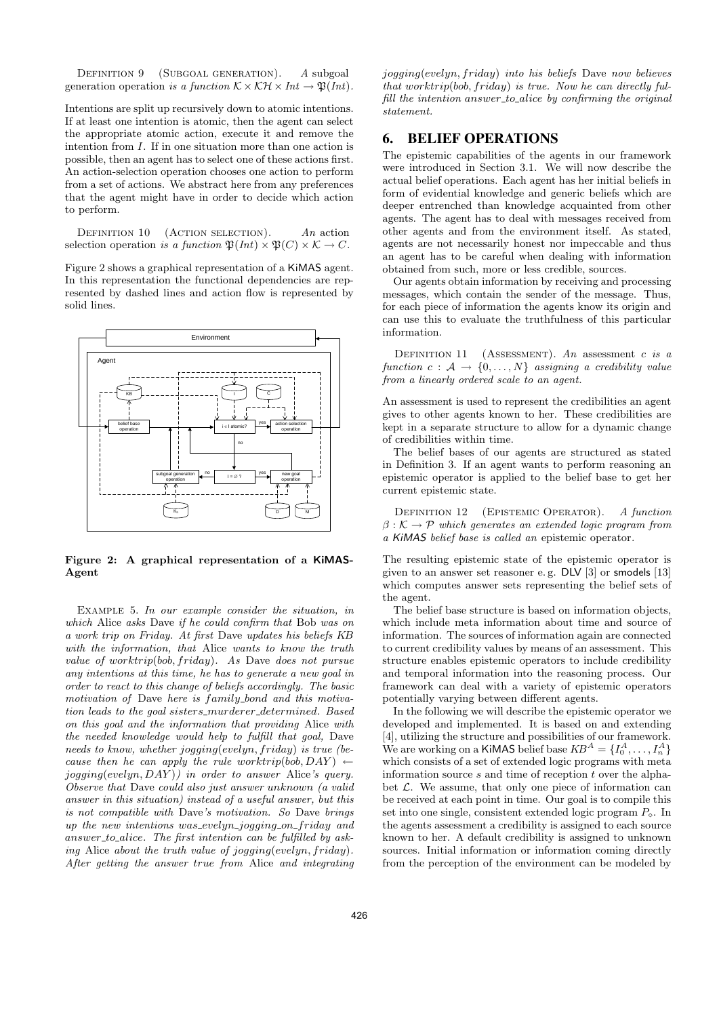DEFINITION 9 (SUBGOAL GENERATION). A subgoal generation operation is a function  $\mathcal{K} \times \mathcal{KH} \times Int \to \mathfrak{P}(Int)$ .

Intentions are split up recursively down to atomic intentions. If at least one intention is atomic, then the agent can select the appropriate atomic action, execute it and remove the intention from I. If in one situation more than one action is possible, then an agent has to select one of these actions first. An action-selection operation chooses one action to perform from a set of actions. We abstract here from any preferences that the agent might have in order to decide which action to perform.

DEFINITION  $10$  (ACTION SELECTION). An action selection operation is a function  $\mathfrak{P}(Int) \times \mathfrak{P}(C) \times \mathcal{K} \to C$ .

Figure 2 shows a graphical representation of a KiMAS agent. In this representation the functional dependencies are represented by dashed lines and action flow is represented by solid lines.



Figure 2: A graphical representation of a KiMAS-Agent

EXAMPLE 5. In our example consider the situation, in which Alice asks Dave if he could confirm that Bob was on a work trip on Friday. At first Dave updates his beliefs KB with the information, that Alice wants to know the truth value of worktrip(bob, friday). As Dave does not pursue any intentions at this time, he has to generate a new goal in order to react to this change of beliefs accordingly. The basic motivation of Dave here is family\_bond and this motivation leads to the goal sisters\_murderer\_determined. Based on this goal and the information that providing Alice with the needed knowledge would help to fulfill that goal, Dave needs to know, whether jogging(evelyn, friday) is true (because then he can apply the rule worktrip(bob, DAY)  $\leftarrow$ jogging(evelyn, DAY )) in order to answer Alice's query. Observe that Dave could also just answer unknown (a valid answer in this situation) instead of a useful answer, but this is not compatible with Dave's motivation. So Dave brings up the new intentions was evelyn jogging on friday and answer\_to\_alice. The first intention can be fulfilled by asking Alice about the truth value of jogging(evelyn, friday). After getting the answer true from Alice and integrating jogging(evelyn, friday) into his beliefs Dave now believes that worktrip(bob, friday) is true. Now he can directly fulfill the intention answer-to-alice by confirming the original statement.

#### 6. BELIEF OPERATIONS

The epistemic capabilities of the agents in our framework were introduced in Section 3.1. We will now describe the actual belief operations. Each agent has her initial beliefs in form of evidential knowledge and generic beliefs which are deeper entrenched than knowledge acquainted from other agents. The agent has to deal with messages received from other agents and from the environment itself. As stated, agents are not necessarily honest nor impeccable and thus an agent has to be careful when dealing with information obtained from such, more or less credible, sources.

Our agents obtain information by receiving and processing messages, which contain the sender of the message. Thus, for each piece of information the agents know its origin and can use this to evaluate the truthfulness of this particular information.

DEFINITION 11 (ASSESSMENT). An assessment c is a function  $c : A \rightarrow \{0, ..., N\}$  assigning a credibility value from a linearly ordered scale to an agent.

An assessment is used to represent the credibilities an agent gives to other agents known to her. These credibilities are kept in a separate structure to allow for a dynamic change of credibilities within time.

The belief bases of our agents are structured as stated in Definition 3. If an agent wants to perform reasoning an epistemic operator is applied to the belief base to get her current epistemic state.

DEFINITION 12 (EPISTEMIC OPERATOR). A function  $\beta: \mathcal{K} \to \mathcal{P}$  which generates an extended logic program from a KiMAS belief base is called an epistemic operator.

The resulting epistemic state of the epistemic operator is given to an answer set reasoner e. g. DLV [3] or smodels [13] which computes answer sets representing the belief sets of the agent.

The belief base structure is based on information objects, which include meta information about time and source of information. The sources of information again are connected to current credibility values by means of an assessment. This structure enables epistemic operators to include credibility and temporal information into the reasoning process. Our framework can deal with a variety of epistemic operators potentially varying between different agents.

In the following we will describe the epistemic operator we developed and implemented. It is based on and extending [4], utilizing the structure and possibilities of our framework. We are working on a KiMAS belief base  $KB^A = \{I_0^A, \ldots, I_n^A\}$ which consists of a set of extended logic programs with meta information source  $s$  and time of reception  $t$  over the alphabet  $\mathcal{L}$ . We assume, that only one piece of information can be received at each point in time. Our goal is to compile this set into one single, consistent extended logic program  $P_{\diamond}$ . In the agents assessment a credibility is assigned to each source known to her. A default credibility is assigned to unknown sources. Initial information or information coming directly from the perception of the environment can be modeled by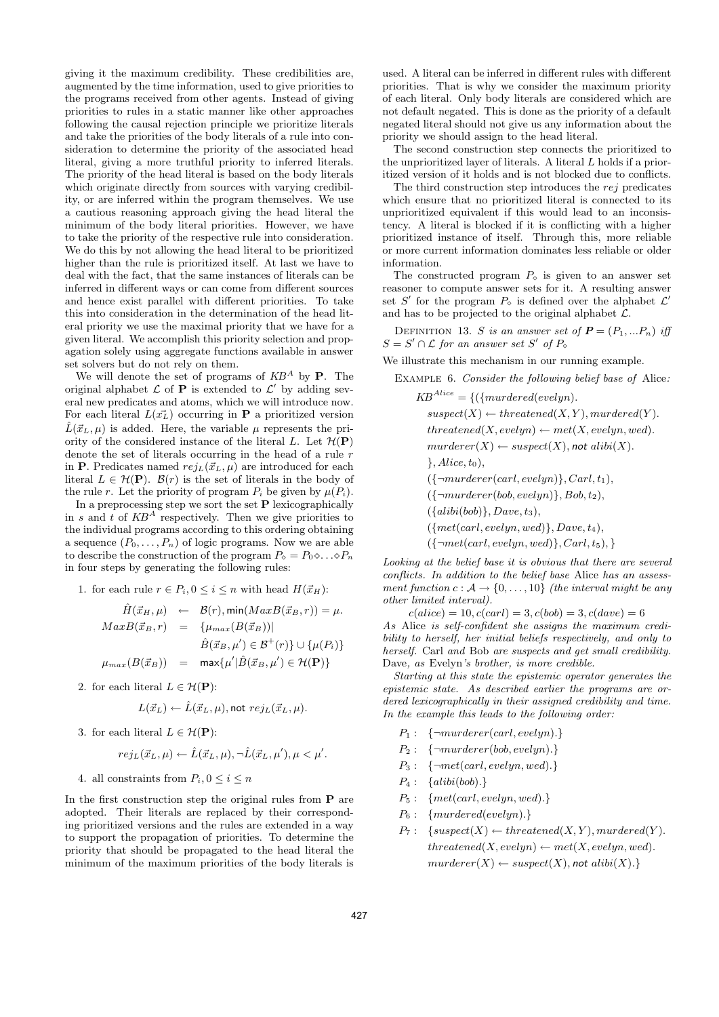giving it the maximum credibility. These credibilities are, augmented by the time information, used to give priorities to the programs received from other agents. Instead of giving priorities to rules in a static manner like other approaches following the causal rejection principle we prioritize literals and take the priorities of the body literals of a rule into consideration to determine the priority of the associated head literal, giving a more truthful priority to inferred literals. The priority of the head literal is based on the body literals which originate directly from sources with varying credibility, or are inferred within the program themselves. We use a cautious reasoning approach giving the head literal the minimum of the body literal priorities. However, we have to take the priority of the respective rule into consideration. We do this by not allowing the head literal to be prioritized higher than the rule is prioritized itself. At last we have to deal with the fact, that the same instances of literals can be inferred in different ways or can come from different sources and hence exist parallel with different priorities. To take this into consideration in the determination of the head literal priority we use the maximal priority that we have for a given literal. We accomplish this priority selection and propagation solely using aggregate functions available in answer set solvers but do not rely on them.

We will denote the set of programs of  $KB^A$  by **P**. The original alphabet  $\mathcal L$  of **P** is extended to  $\mathcal L'$  by adding several new predicates and atoms, which we will introduce now. For each literal  $L(\vec{x_L})$  occurring in **P** a prioritized version  $\hat{L}(\vec{x}_L, \mu)$  is added. Here, the variable  $\mu$  represents the priority of the considered instance of the literal L. Let  $\mathcal{H}(\mathbf{P})$ denote the set of literals occurring in the head of a rule r in P. Predicates named  $rej_L(\vec{x}_L, \mu)$  are introduced for each literal  $L \in \mathcal{H}(\mathbf{P})$ .  $\mathcal{B}(r)$  is the set of literals in the body of the rule r. Let the priority of program  $P_i$  be given by  $\mu(P_i)$ .

In a preprocessing step we sort the set  $P$  lexicographically in s and t of  $KB^A$  respectively. Then we give priorities to the individual programs according to this ordering obtaining a sequence  $(P_0, \ldots, P_n)$  of logic programs. Now we are able to describe the construction of the program  $P_{\diamond} = P_0 \diamond \ldots \diamond P_n$ in four steps by generating the following rules:

1. for each rule  $r \in P_i$ ,  $0 \leq i \leq n$  with head  $H(\vec{x}_H)$ :

$$
\hat{H}(\vec{x}_H, \mu) \leftarrow \mathcal{B}(r), \min(MaxB(\vec{x}_B, r)) = \mu.
$$
\n
$$
MaxB(\vec{x}_B, r) = \{ \mu_{max}(B(\vec{x}_B)) |
$$
\n
$$
\hat{B}(\vec{x}_B, \mu') \in \mathcal{B}^+(r) \} \cup \{ \mu(P_i) \}
$$
\n
$$
\mu_{max}(B(\vec{x}_B)) = \max{\{\mu'|\hat{B}(\vec{x}_B, \mu') \in \mathcal{H}(\mathbf{P})\}}
$$

2. for each literal  $L \in \mathcal{H}(\mathbf{P})$ :

$$
L(\vec{x}_L) \leftarrow \hat{L}(\vec{x}_L, \mu), \text{not } rej_L(\vec{x}_L, \mu).
$$

3. for each literal  $L \in \mathcal{H}(\mathbf{P})$ :

$$
rej_L(\vec{x}_L, \mu) \leftarrow \hat{L}(\vec{x}_L, \mu), \neg \hat{L}(\vec{x}_L, \mu'), \mu < \mu'.
$$

4. all constraints from  $P_i, 0 \leq i \leq n$ 

In the first construction step the original rules from P are adopted. Their literals are replaced by their corresponding prioritized versions and the rules are extended in a way to support the propagation of priorities. To determine the priority that should be propagated to the head literal the minimum of the maximum priorities of the body literals is

used. A literal can be inferred in different rules with different priorities. That is why we consider the maximum priority of each literal. Only body literals are considered which are not default negated. This is done as the priority of a default negated literal should not give us any information about the priority we should assign to the head literal.

The second construction step connects the prioritized to the unprioritized layer of literals. A literal  $L$  holds if a prioritized version of it holds and is not blocked due to conflicts.

The third construction step introduces the rej predicates which ensure that no prioritized literal is connected to its unprioritized equivalent if this would lead to an inconsistency. A literal is blocked if it is conflicting with a higher prioritized instance of itself. Through this, more reliable or more current information dominates less reliable or older information.

The constructed program  $P_{\circ}$  is given to an answer set reasoner to compute answer sets for it. A resulting answer set S' for the program  $P_{\diamond}$  is defined over the alphabet  $\mathcal{L}'$ and has to be projected to the original alphabet  $\mathcal{L}$ .

DEFINITION 13. S is an answer set of  $P = (P_1, ... P_n)$  iff  $S = S' \cap \mathcal{L}$  for an answer set S' of  $P_{\infty}$ 

We illustrate this mechanism in our running example.

Example 6. Consider the following belief base of Alice:

 $KB^{Alice} = \{(\{murdered(evelyn).$  $suspect(X) \leftarrow \text{thread}(X, Y), \text{murdered}(Y).$  $thread(X, evelyn) \leftarrow met(X, evelyn, wed).$  $murderer(X) \leftarrow suspect(X)$ , not alibi(X).  $\}$ , Alice, t<sub>0</sub>),  $({\text{-}murderer}(carl, evelyn)}, Carl, t_1),$  $({\{\neg murderer(bob, evelyn)\}, Bob, t_2}),$  $({\{alibi(bob)\}, Dave, t<sub>3</sub>}),$  $(\{met(carl, evelyn, wed)\}, Dave, t<sub>4</sub>),$  $({\lbrace \neg met(carl, evelyn, wed) \rbrace, Carl, t_5), }$ 

Looking at the belief base it is obvious that there are several conflicts. In addition to the belief base Alice has an assessment function  $c : \mathcal{A} \to \{0, \ldots, 10\}$  (the interval might be any other limited interval).

 $c(alice) = 10, c(carl) = 3, c(bob) = 3, c(dave) = 6$ As Alice is self-confident she assigns the maximum credibility to herself, her initial beliefs respectively, and only to herself. Carl and Bob are suspects and get small credibility. Dave, as Evelyn's brother, is more credible.

Starting at this state the epistemic operator generates the epistemic state. As described earlier the programs are ordered lexicographically in their assigned credibility and time. In the example this leads to the following order:

- $P_1: \quad {\text{-}murderer}(carl, evelyn).$
- $P_2$ : {¬murderer(bob, evelyn).}
- $P_3: \quad {\neg met(carl, evenlyn, wed).}$
- $P_4$ : { $alibi(bob).$ }
- $P_5: \{met(carl, evelyn, wed). \}$
- $P_6: \{murdered(evelyn).\}$
- $P_7: \ \{suspect(X) \leftarrow \text{thread}(X, Y), \text{murdered}(Y).$  $thread(X, evelyn) \leftarrow met(X, evelyn, wed).$  $murderer(X) \leftarrow suspect(X)$ , not alibi $(X)$ .